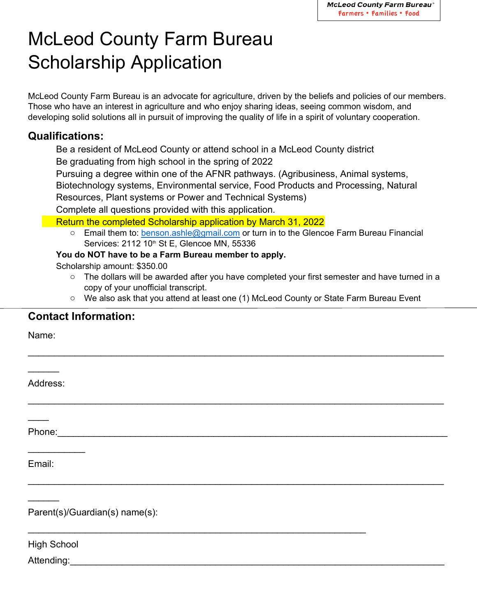# McLeod County Farm Bureau Scholarship Application

McLeod County Farm Bureau is an advocate for agriculture, driven by the beliefs and policies of our members. Those who have an interest in agriculture and who enjoy sharing ideas, seeing common wisdom, and developing solid solutions all in pursuit of improving the quality of life in a spirit of voluntary cooperation.

## **Qualifications:**

Be a resident of McLeod County or attend school in a McLeod County district Be graduating from high school in the spring of 2022 Pursuing a degree within one of the AFNR pathways. (Agribusiness, Animal systems, Biotechnology systems, Environmental service, Food Products and Processing, Natural Resources, Plant systems or Power and Technical Systems) Complete all questions provided with this application.

Return the completed Scholarship application by March 31, 2022

 $\circ$  Email them to: benson.ashle@gmail.com or turn in to the Glencoe Farm Bureau Financial Services: 2112 10<sup>th</sup> St E, Glencoe MN, 55336

#### **You do NOT have to be a Farm Bureau member to apply.**

Scholarship amount: \$350.00

- $\circ$  The dollars will be awarded after you have completed your first semester and have turned in a copy of your unofficial transcript.
- o We also ask that you attend at least one (1) McLeod County or State Farm Bureau Event

 $\_$ 

 $\_$ 

 $\_$ 

 $\mathcal{L}_\text{max} = \mathcal{L}_\text{max} = \mathcal{L}_\text{max} = \mathcal{L}_\text{max} = \mathcal{L}_\text{max} = \mathcal{L}_\text{max} = \mathcal{L}_\text{max} = \mathcal{L}_\text{max} = \mathcal{L}_\text{max} = \mathcal{L}_\text{max} = \mathcal{L}_\text{max} = \mathcal{L}_\text{max} = \mathcal{L}_\text{max} = \mathcal{L}_\text{max} = \mathcal{L}_\text{max} = \mathcal{L}_\text{max} = \mathcal{L}_\text{max} = \mathcal{L}_\text{max} = \mathcal{$ 

### **Contact Information:**

Name:

Address:

 $\frac{1}{2}$ 

Phone: where  $\overline{\phantom{a}}$ 

 $\frac{1}{2}$ 

 $\overline{\phantom{a}}$ 

Email:

 $\frac{1}{2}$ 

Parent(s)/Guardian(s) name(s):

High School

#### Attending:\_\_\_\_\_\_\_\_\_\_\_\_\_\_\_\_\_\_\_\_\_\_\_\_\_\_\_\_\_\_\_\_\_\_\_\_\_\_\_\_\_\_\_\_\_\_\_\_\_\_\_\_\_\_\_\_\_\_\_\_\_\_\_\_\_\_\_\_\_\_\_\_